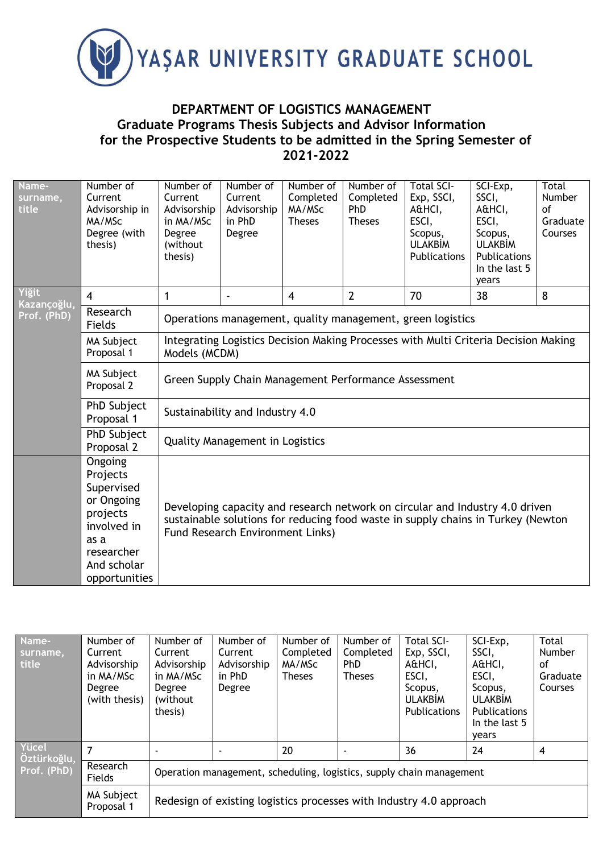

## **DEPARTMENT OF LOGISTICS MANAGEMENT Graduate Programs Thesis Subjects and Advisor Information for the Prospective Students to be admitted in the Spring Semester of 2021-2022**

| Name-<br>surname,<br>title | Number of<br>Current<br>Advisorship in<br>MA/MSc<br>Degree (with<br>thesis)                                                      | Number of<br>Current<br>Advisorship<br>in MA/MSc<br>Degree<br>(without<br>thesis)                    | Number of<br>Current<br>Advisorship<br>in PhD<br>Degree | Number of<br>Completed<br>MA/MSc<br><b>Theses</b> | Number of<br>Completed<br>PhD<br><b>Theses</b> | <b>Total SCI-</b><br>Exp, SSCI,<br>A&HCI,<br>ESCI,<br>Scopus,<br><b>ULAKBİM</b><br>Publications | SCI-Exp,<br>SSCI,<br>A&HCI,<br>ESCI,<br>Scopus,<br><b>ULAKBİM</b><br>Publications<br>In the last 5<br>years                                                      | Total<br>Number<br>$\alpha$ f<br>Graduate<br>Courses |  |  |
|----------------------------|----------------------------------------------------------------------------------------------------------------------------------|------------------------------------------------------------------------------------------------------|---------------------------------------------------------|---------------------------------------------------|------------------------------------------------|-------------------------------------------------------------------------------------------------|------------------------------------------------------------------------------------------------------------------------------------------------------------------|------------------------------------------------------|--|--|
| Yiğit<br>Kazançoğlu,       | $\overline{4}$                                                                                                                   | $\mathbf{1}$                                                                                         | ä,                                                      | $\overline{4}$                                    | $\overline{2}$                                 | 70                                                                                              | 38                                                                                                                                                               | 8                                                    |  |  |
| Prof. (PhD)                | Research<br>Fields                                                                                                               | Operations management, quality management, green logistics                                           |                                                         |                                                   |                                                |                                                                                                 |                                                                                                                                                                  |                                                      |  |  |
|                            | MA Subject<br>Proposal 1                                                                                                         | Integrating Logistics Decision Making Processes with Multi Criteria Decision Making<br>Models (MCDM) |                                                         |                                                   |                                                |                                                                                                 |                                                                                                                                                                  |                                                      |  |  |
|                            | MA Subject<br>Proposal 2                                                                                                         | Green Supply Chain Management Performance Assessment                                                 |                                                         |                                                   |                                                |                                                                                                 |                                                                                                                                                                  |                                                      |  |  |
|                            | PhD Subject<br>Proposal 1                                                                                                        | Sustainability and Industry 4.0                                                                      |                                                         |                                                   |                                                |                                                                                                 |                                                                                                                                                                  |                                                      |  |  |
|                            | PhD Subject<br>Proposal 2                                                                                                        | <b>Quality Management in Logistics</b>                                                               |                                                         |                                                   |                                                |                                                                                                 |                                                                                                                                                                  |                                                      |  |  |
|                            | Ongoing<br>Projects<br>Supervised<br>or Ongoing<br>projects<br>involved in<br>as a<br>researcher<br>And scholar<br>opportunities |                                                                                                      | <b>Fund Research Environment Links)</b>                 |                                                   |                                                |                                                                                                 | Developing capacity and research network on circular and Industry 4.0 driven<br>sustainable solutions for reducing food waste in supply chains in Turkey (Newton |                                                      |  |  |

| Name-<br>surname,<br>title          | Number of<br>Current<br>Advisorship<br>in MA/MSc<br>Degree<br>(with thesis) | Number of<br>Current<br>Advisorship<br>in MA/MSc<br>Degree<br>(without)<br>thesis) | Number of<br>Current<br>Advisorship<br>in PhD<br>Degree | Number of<br>Completed<br>MA/MSc<br><b>Theses</b> | Number of<br>Completed<br>PhD<br><b>Theses</b> | Total SCI-<br>Exp, SSCI,<br>A&HCI,<br>ESCI,<br>Scopus,<br><b>ULAKBIM</b><br><b>Publications</b> | SCI-Exp,<br>SSCI.<br>A&HCI,<br>ESCI,<br>Scopus,<br><b>ULAKBIM</b><br>Publications<br>In the last 5 | Total<br>Number<br>οf<br>Graduate<br>Courses |  |  |
|-------------------------------------|-----------------------------------------------------------------------------|------------------------------------------------------------------------------------|---------------------------------------------------------|---------------------------------------------------|------------------------------------------------|-------------------------------------------------------------------------------------------------|----------------------------------------------------------------------------------------------------|----------------------------------------------|--|--|
|                                     |                                                                             |                                                                                    |                                                         |                                                   |                                                |                                                                                                 | vears                                                                                              |                                              |  |  |
| Yücel<br>Öztürkoğlu,<br>Prof. (PhD) |                                                                             |                                                                                    |                                                         | 20                                                |                                                | 36                                                                                              | 24                                                                                                 | 4                                            |  |  |
|                                     | Research<br>Fields                                                          | Operation management, scheduling, logistics, supply chain management               |                                                         |                                                   |                                                |                                                                                                 |                                                                                                    |                                              |  |  |
|                                     | MA Subject<br>Proposal 1                                                    | Redesign of existing logistics processes with Industry 4.0 approach                |                                                         |                                                   |                                                |                                                                                                 |                                                                                                    |                                              |  |  |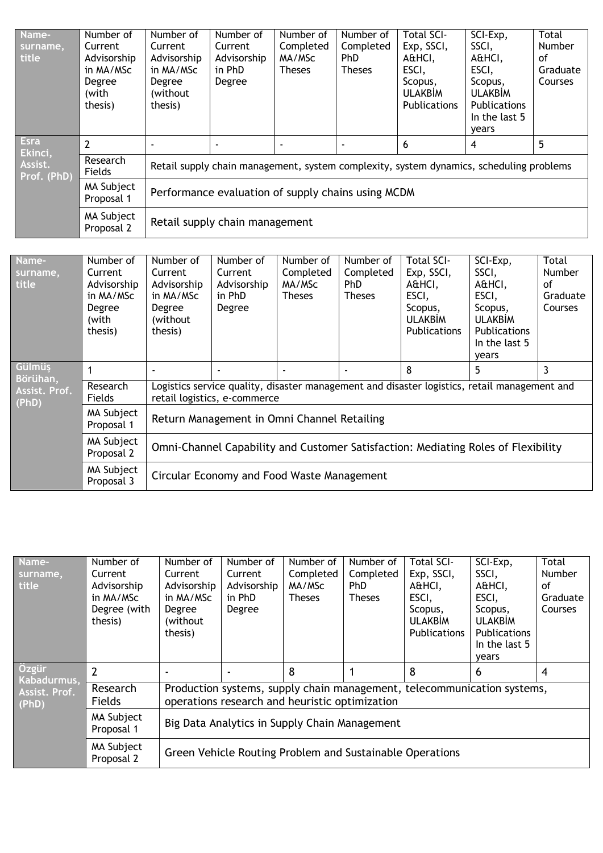| Name-<br>surname,<br>title                       | Number of<br>Current<br>Advisorship<br>in MA/MSc<br>Degree<br>(with<br>thesis) | Number of<br>Current<br>Advisorship<br>in MA/MSc<br>Degree<br>(without)<br>thesis)      | Number of<br>Current<br>Advisorship<br>in PhD<br>Degree | Number of<br>Completed<br>MA/MSc<br><b>Theses</b> | Number of<br>Completed<br><b>PhD</b><br><b>Theses</b> | Total SCI-<br>Exp, SSCI,<br>A&HCI,<br>ESCI,<br>Scopus,<br><b>ULAKBIM</b><br>Publications | SCI-Exp,<br>SSCI,<br>A&HCI,<br>ESCI,<br>Scopus,<br><b>ULAKBIM</b><br>Publications<br>In the last 5<br>years | Total<br>Number<br>Ωf<br>Graduate<br>Courses |  |  |  |
|--------------------------------------------------|--------------------------------------------------------------------------------|-----------------------------------------------------------------------------------------|---------------------------------------------------------|---------------------------------------------------|-------------------------------------------------------|------------------------------------------------------------------------------------------|-------------------------------------------------------------------------------------------------------------|----------------------------------------------|--|--|--|
| <b>Esra</b><br>Ekinci,<br>Assist.<br>Prof. (PhD) | $\overline{2}$                                                                 |                                                                                         |                                                         |                                                   |                                                       | 6                                                                                        | 4                                                                                                           | 5                                            |  |  |  |
|                                                  | Research<br>Fields                                                             | Retail supply chain management, system complexity, system dynamics, scheduling problems |                                                         |                                                   |                                                       |                                                                                          |                                                                                                             |                                              |  |  |  |
|                                                  | MA Subject<br>Proposal 1                                                       |                                                                                         | Performance evaluation of supply chains using MCDM      |                                                   |                                                       |                                                                                          |                                                                                                             |                                              |  |  |  |
|                                                  | MA Subject<br>Proposal 2                                                       |                                                                                         | Retail supply chain management                          |                                                   |                                                       |                                                                                          |                                                                                                             |                                              |  |  |  |

| Name-<br>surname,<br><b>title</b> | Number of<br>Current<br>Advisorship<br>in MA/MSc<br>Degree<br>(with<br>thesis) | Number of<br>Current<br>Advisorship<br>in MA/MSc<br>Degree<br>(without)<br>thesis)                                           | Number of<br>Current<br>Advisorship<br>in PhD<br>Degree | Number of<br>Completed<br>MA/MSc<br><b>Theses</b> | Number of<br>Completed<br>PhD.<br><b>Theses</b> | Total SCI-<br>Exp, SSCI,<br>A&HCI,<br>ESCI,<br>Scopus,<br><b>ULAKBİM</b><br><b>Publications</b> | SCI-Exp,<br>SSCI,<br>A&HCI,<br>ESCI,<br>Scopus,<br><b>ULAKBIM</b><br><b>Publications</b><br>In the last 5<br>years | Total<br><b>Number</b><br>Ωf<br>Graduate<br><b>Courses</b> |  |  |
|-----------------------------------|--------------------------------------------------------------------------------|------------------------------------------------------------------------------------------------------------------------------|---------------------------------------------------------|---------------------------------------------------|-------------------------------------------------|-------------------------------------------------------------------------------------------------|--------------------------------------------------------------------------------------------------------------------|------------------------------------------------------------|--|--|
| Gülmüş<br>Börühan,                |                                                                                |                                                                                                                              | $\overline{\phantom{a}}$                                |                                                   |                                                 | 8                                                                                               | 5                                                                                                                  | 3                                                          |  |  |
| Assist. Prof.<br>(PhD)            | Research<br><b>Fields</b>                                                      | Logistics service quality, disaster management and disaster logistics, retail management and<br>retail logistics, e-commerce |                                                         |                                                   |                                                 |                                                                                                 |                                                                                                                    |                                                            |  |  |
|                                   | MA Subject<br>Proposal 1                                                       | Return Management in Omni Channel Retailing                                                                                  |                                                         |                                                   |                                                 |                                                                                                 |                                                                                                                    |                                                            |  |  |
|                                   | MA Subject<br>Proposal 2                                                       | Omni-Channel Capability and Customer Satisfaction: Mediating Roles of Flexibility                                            |                                                         |                                                   |                                                 |                                                                                                 |                                                                                                                    |                                                            |  |  |
|                                   | MA Subject<br>Proposal 3                                                       |                                                                                                                              | Circular Economy and Food Waste Management              |                                                   |                                                 |                                                                                                 |                                                                                                                    |                                                            |  |  |

| Name-<br>surname,<br>title  | Number of<br>Current<br>Advisorship<br>in MA/MSc<br>Degree (with<br>thesis) | Number of<br>Current<br>Advisorship<br>in MA/MSc<br>Degree<br>(without)<br>thesis)                                        | Number of<br>Current<br>Advisorship<br>in PhD<br>Degree  | Number of<br>Completed<br>MA/MSc<br><b>Theses</b> | Number of<br>Completed<br><b>PhD</b><br><b>Theses</b> | <b>Total SCI-</b><br>Exp, SSCI,<br>A&HCI,<br>ESCI,<br>Scopus,<br><b>ULAKBIM</b><br><b>Publications</b> | SCI-Exp,<br>SSCI,<br>A&HCI,<br>ESCI,<br>Scopus,<br><b>ULAKBİM</b><br><b>Publications</b><br>In the last 5<br>years | Total<br>Number<br>Ωf<br>Graduate<br>Courses |  |
|-----------------------------|-----------------------------------------------------------------------------|---------------------------------------------------------------------------------------------------------------------------|----------------------------------------------------------|---------------------------------------------------|-------------------------------------------------------|--------------------------------------------------------------------------------------------------------|--------------------------------------------------------------------------------------------------------------------|----------------------------------------------|--|
| <b>Ozgür</b><br>Kabadurmus, | $\overline{2}$                                                              |                                                                                                                           |                                                          | 8                                                 |                                                       | 8                                                                                                      | 6                                                                                                                  | $\overline{4}$                               |  |
| Assist. Prof.<br>(PhD)      | Research<br>Fields                                                          | Production systems, supply chain management, telecommunication systems,<br>operations research and heuristic optimization |                                                          |                                                   |                                                       |                                                                                                        |                                                                                                                    |                                              |  |
|                             | MA Subject<br>Proposal 1                                                    | Big Data Analytics in Supply Chain Management                                                                             |                                                          |                                                   |                                                       |                                                                                                        |                                                                                                                    |                                              |  |
|                             | MA Subject<br>Proposal 2                                                    |                                                                                                                           | Green Vehicle Routing Problem and Sustainable Operations |                                                   |                                                       |                                                                                                        |                                                                                                                    |                                              |  |